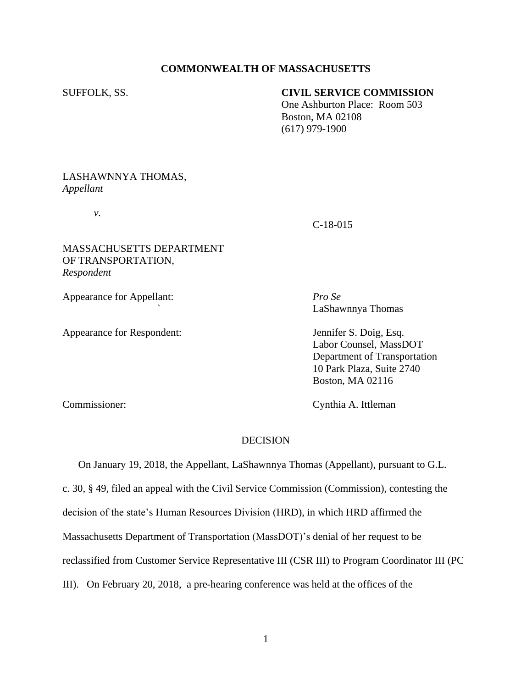### **COMMONWEALTH OF MASSACHUSETTS**

## SUFFOLK, SS. **CIVIL SERVICE COMMISSION**

 One Ashburton Place: Room 503 Boston, MA 02108 (617) 979-1900

### LASHAWNNYA THOMAS, *Appellant*

*v.*

### C-18-015

## MASSACHUSETTS DEPARTMENT OF TRANSPORTATION, *Respondent*

Appearance for Appellant: *Pro Se*

Appearance for Respondent: Jennifer S. Doig, Esq.

*`* LaShawnnya Thomas

Labor Counsel, MassDOT Department of Transportation 10 Park Plaza, Suite 2740 Boston, MA 02116

Commissioner: Cynthia A. Ittleman

## DECISION

 On January 19, 2018, the Appellant, LaShawnnya Thomas (Appellant), pursuant to G.L. c. 30, § 49, filed an appeal with the Civil Service Commission (Commission), contesting the decision of the state's Human Resources Division (HRD), in which HRD affirmed the Massachusetts Department of Transportation (MassDOT)'s denial of her request to be reclassified from Customer Service Representative III (CSR III) to Program Coordinator III (PC III). On February 20, 2018, a pre-hearing conference was held at the offices of the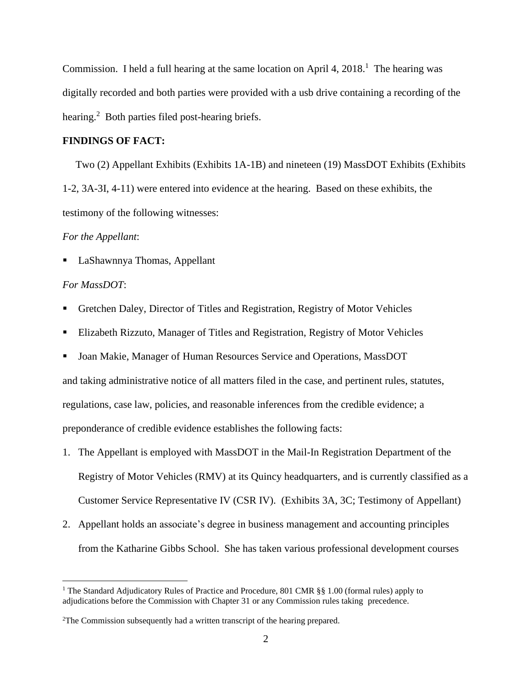Commission. I held a full hearing at the same location on April 4,  $2018$ <sup>1</sup>. The hearing was digitally recorded and both parties were provided with a usb drive containing a recording of the hearing.<sup>2</sup> Both parties filed post-hearing briefs.

#### **FINDINGS OF FACT:**

Two (2) Appellant Exhibits (Exhibits 1A-1B) and nineteen (19) MassDOT Exhibits (Exhibits 1-2, 3A-3I, 4-11) were entered into evidence at the hearing. Based on these exhibits, the testimony of the following witnesses:

#### *For the Appellant*:

■ LaShawnnya Thomas, Appellant

#### *For MassDOT*:

- Gretchen Daley, Director of Titles and Registration, Registry of Motor Vehicles
- Elizabeth Rizzuto, Manager of Titles and Registration, Registry of Motor Vehicles
- Joan Makie, Manager of Human Resources Service and Operations, MassDOT and taking administrative notice of all matters filed in the case, and pertinent rules, statutes, regulations, case law, policies, and reasonable inferences from the credible evidence; a preponderance of credible evidence establishes the following facts:
- 1. The Appellant is employed with MassDOT in the Mail-In Registration Department of the Registry of Motor Vehicles (RMV) at its Quincy headquarters, and is currently classified as a Customer Service Representative IV (CSR IV). (Exhibits 3A, 3C; Testimony of Appellant)
- 2. Appellant holds an associate's degree in business management and accounting principles from the Katharine Gibbs School. She has taken various professional development courses

<sup>&</sup>lt;sup>1</sup> The Standard Adjudicatory Rules of Practice and Procedure, 801 CMR §§ 1.00 (formal rules) apply to adjudications before the Commission with Chapter 31 or any Commission rules taking precedence.

<sup>2</sup>The Commission subsequently had a written transcript of the hearing prepared.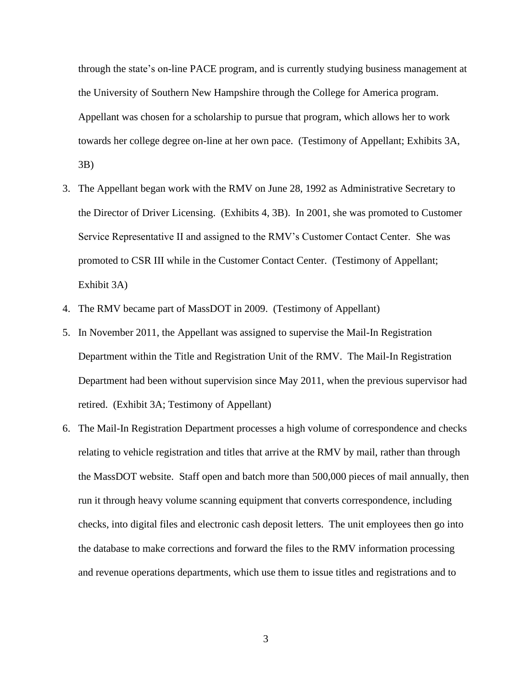through the state's on-line PACE program, and is currently studying business management at the University of Southern New Hampshire through the College for America program. Appellant was chosen for a scholarship to pursue that program, which allows her to work towards her college degree on-line at her own pace. (Testimony of Appellant; Exhibits 3A, 3B)

- 3. The Appellant began work with the RMV on June 28, 1992 as Administrative Secretary to the Director of Driver Licensing. (Exhibits 4, 3B). In 2001, she was promoted to Customer Service Representative II and assigned to the RMV's Customer Contact Center. She was promoted to CSR III while in the Customer Contact Center. (Testimony of Appellant; Exhibit 3A)
- 4. The RMV became part of MassDOT in 2009. (Testimony of Appellant)
- 5. In November 2011, the Appellant was assigned to supervise the Mail-In Registration Department within the Title and Registration Unit of the RMV. The Mail-In Registration Department had been without supervision since May 2011, when the previous supervisor had retired. (Exhibit 3A; Testimony of Appellant)
- 6. The Mail-In Registration Department processes a high volume of correspondence and checks relating to vehicle registration and titles that arrive at the RMV by mail, rather than through the MassDOT website. Staff open and batch more than 500,000 pieces of mail annually, then run it through heavy volume scanning equipment that converts correspondence, including checks, into digital files and electronic cash deposit letters. The unit employees then go into the database to make corrections and forward the files to the RMV information processing and revenue operations departments, which use them to issue titles and registrations and to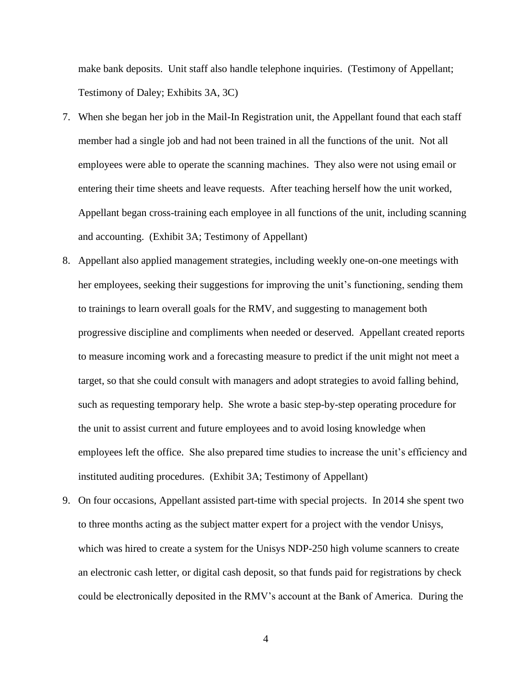make bank deposits. Unit staff also handle telephone inquiries. (Testimony of Appellant; Testimony of Daley; Exhibits 3A, 3C)

- 7. When she began her job in the Mail-In Registration unit, the Appellant found that each staff member had a single job and had not been trained in all the functions of the unit. Not all employees were able to operate the scanning machines. They also were not using email or entering their time sheets and leave requests. After teaching herself how the unit worked, Appellant began cross-training each employee in all functions of the unit, including scanning and accounting. (Exhibit 3A; Testimony of Appellant)
- 8. Appellant also applied management strategies, including weekly one-on-one meetings with her employees, seeking their suggestions for improving the unit's functioning, sending them to trainings to learn overall goals for the RMV, and suggesting to management both progressive discipline and compliments when needed or deserved. Appellant created reports to measure incoming work and a forecasting measure to predict if the unit might not meet a target, so that she could consult with managers and adopt strategies to avoid falling behind, such as requesting temporary help. She wrote a basic step-by-step operating procedure for the unit to assist current and future employees and to avoid losing knowledge when employees left the office. She also prepared time studies to increase the unit's efficiency and instituted auditing procedures. (Exhibit 3A; Testimony of Appellant)
- 9. On four occasions, Appellant assisted part-time with special projects. In 2014 she spent two to three months acting as the subject matter expert for a project with the vendor Unisys, which was hired to create a system for the Unisys NDP-250 high volume scanners to create an electronic cash letter, or digital cash deposit, so that funds paid for registrations by check could be electronically deposited in the RMV's account at the Bank of America. During the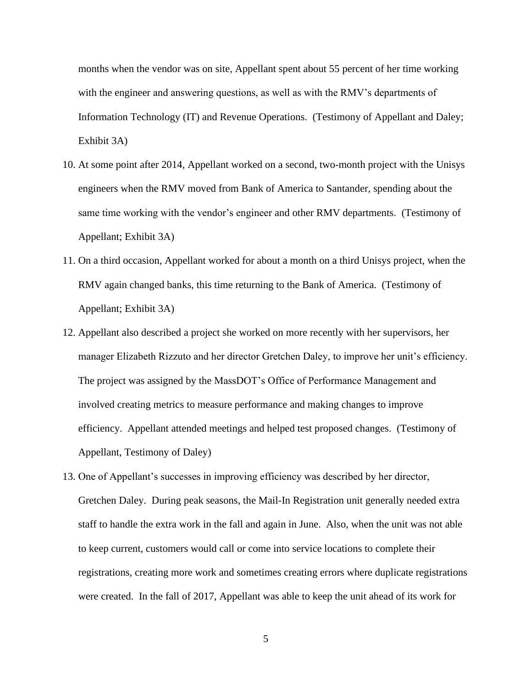months when the vendor was on site, Appellant spent about 55 percent of her time working with the engineer and answering questions, as well as with the RMV's departments of Information Technology (IT) and Revenue Operations. (Testimony of Appellant and Daley; Exhibit 3A)

- 10. At some point after 2014, Appellant worked on a second, two-month project with the Unisys engineers when the RMV moved from Bank of America to Santander, spending about the same time working with the vendor's engineer and other RMV departments. (Testimony of Appellant; Exhibit 3A)
- 11. On a third occasion, Appellant worked for about a month on a third Unisys project, when the RMV again changed banks, this time returning to the Bank of America. (Testimony of Appellant; Exhibit 3A)
- 12. Appellant also described a project she worked on more recently with her supervisors, her manager Elizabeth Rizzuto and her director Gretchen Daley, to improve her unit's efficiency. The project was assigned by the MassDOT's Office of Performance Management and involved creating metrics to measure performance and making changes to improve efficiency. Appellant attended meetings and helped test proposed changes. (Testimony of Appellant, Testimony of Daley)
- 13. One of Appellant's successes in improving efficiency was described by her director, Gretchen Daley. During peak seasons, the Mail-In Registration unit generally needed extra staff to handle the extra work in the fall and again in June. Also, when the unit was not able to keep current, customers would call or come into service locations to complete their registrations, creating more work and sometimes creating errors where duplicate registrations were created. In the fall of 2017, Appellant was able to keep the unit ahead of its work for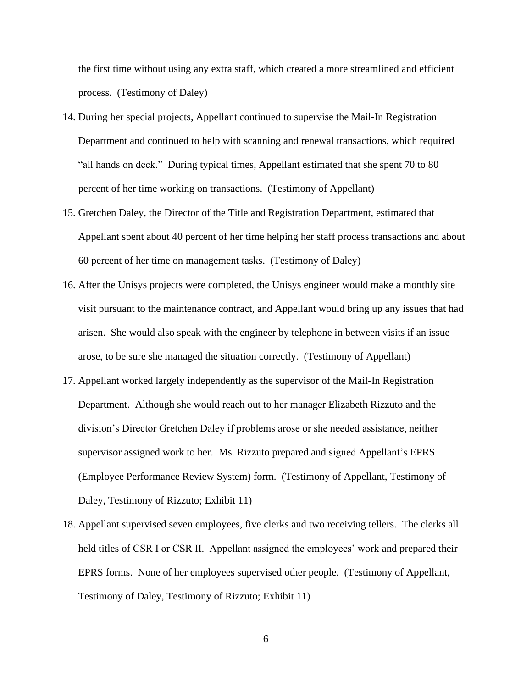the first time without using any extra staff, which created a more streamlined and efficient process. (Testimony of Daley)

- 14. During her special projects, Appellant continued to supervise the Mail-In Registration Department and continued to help with scanning and renewal transactions, which required "all hands on deck." During typical times, Appellant estimated that she spent 70 to 80 percent of her time working on transactions. (Testimony of Appellant)
- 15. Gretchen Daley, the Director of the Title and Registration Department, estimated that Appellant spent about 40 percent of her time helping her staff process transactions and about 60 percent of her time on management tasks. (Testimony of Daley)
- 16. After the Unisys projects were completed, the Unisys engineer would make a monthly site visit pursuant to the maintenance contract, and Appellant would bring up any issues that had arisen. She would also speak with the engineer by telephone in between visits if an issue arose, to be sure she managed the situation correctly. (Testimony of Appellant)
- 17. Appellant worked largely independently as the supervisor of the Mail-In Registration Department. Although she would reach out to her manager Elizabeth Rizzuto and the division's Director Gretchen Daley if problems arose or she needed assistance, neither supervisor assigned work to her. Ms. Rizzuto prepared and signed Appellant's EPRS (Employee Performance Review System) form. (Testimony of Appellant, Testimony of Daley, Testimony of Rizzuto; Exhibit 11)
- 18. Appellant supervised seven employees, five clerks and two receiving tellers. The clerks all held titles of CSR I or CSR II. Appellant assigned the employees' work and prepared their EPRS forms. None of her employees supervised other people. (Testimony of Appellant, Testimony of Daley, Testimony of Rizzuto; Exhibit 11)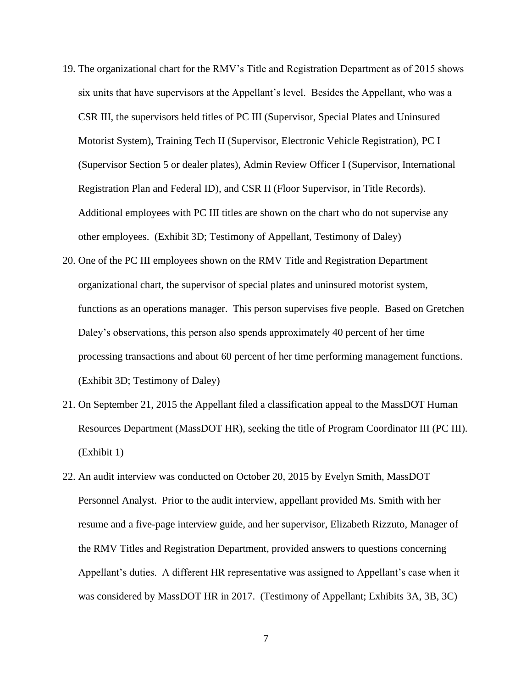- 19. The organizational chart for the RMV's Title and Registration Department as of 2015 shows six units that have supervisors at the Appellant's level. Besides the Appellant, who was a CSR III, the supervisors held titles of PC III (Supervisor, Special Plates and Uninsured Motorist System), Training Tech II (Supervisor, Electronic Vehicle Registration), PC I (Supervisor Section 5 or dealer plates), Admin Review Officer I (Supervisor, International Registration Plan and Federal ID), and CSR II (Floor Supervisor, in Title Records). Additional employees with PC III titles are shown on the chart who do not supervise any other employees. (Exhibit 3D; Testimony of Appellant, Testimony of Daley)
- 20. One of the PC III employees shown on the RMV Title and Registration Department organizational chart, the supervisor of special plates and uninsured motorist system, functions as an operations manager. This person supervises five people. Based on Gretchen Daley's observations, this person also spends approximately 40 percent of her time processing transactions and about 60 percent of her time performing management functions. (Exhibit 3D; Testimony of Daley)
- 21. On September 21, 2015 the Appellant filed a classification appeal to the MassDOT Human Resources Department (MassDOT HR), seeking the title of Program Coordinator III (PC III). (Exhibit 1)
- 22. An audit interview was conducted on October 20, 2015 by Evelyn Smith, MassDOT Personnel Analyst. Prior to the audit interview, appellant provided Ms. Smith with her resume and a five-page interview guide, and her supervisor, Elizabeth Rizzuto, Manager of the RMV Titles and Registration Department, provided answers to questions concerning Appellant's duties. A different HR representative was assigned to Appellant's case when it was considered by MassDOT HR in 2017. (Testimony of Appellant; Exhibits 3A, 3B, 3C)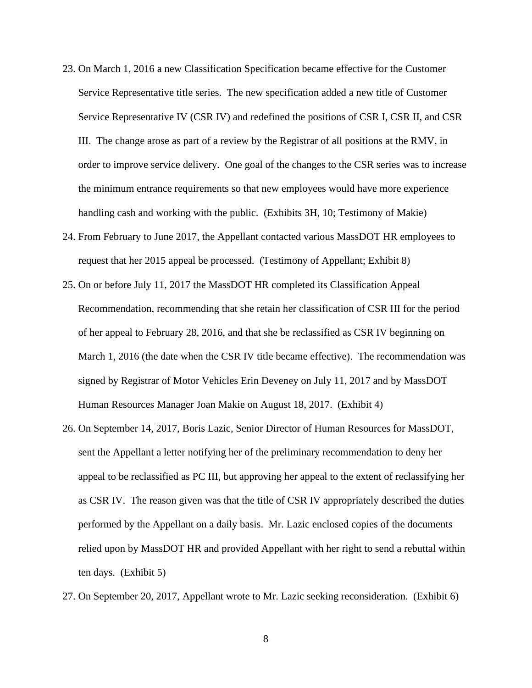- 23. On March 1, 2016 a new Classification Specification became effective for the Customer Service Representative title series. The new specification added a new title of Customer Service Representative IV (CSR IV) and redefined the positions of CSR I, CSR II, and CSR III. The change arose as part of a review by the Registrar of all positions at the RMV, in order to improve service delivery. One goal of the changes to the CSR series was to increase the minimum entrance requirements so that new employees would have more experience handling cash and working with the public. (Exhibits 3H, 10; Testimony of Makie)
- 24. From February to June 2017, the Appellant contacted various MassDOT HR employees to request that her 2015 appeal be processed. (Testimony of Appellant; Exhibit 8)
- 25. On or before July 11, 2017 the MassDOT HR completed its Classification Appeal Recommendation, recommending that she retain her classification of CSR III for the period of her appeal to February 28, 2016, and that she be reclassified as CSR IV beginning on March 1, 2016 (the date when the CSR IV title became effective). The recommendation was signed by Registrar of Motor Vehicles Erin Deveney on July 11, 2017 and by MassDOT Human Resources Manager Joan Makie on August 18, 2017. (Exhibit 4)
- 26. On September 14, 2017, Boris Lazic, Senior Director of Human Resources for MassDOT, sent the Appellant a letter notifying her of the preliminary recommendation to deny her appeal to be reclassified as PC III, but approving her appeal to the extent of reclassifying her as CSR IV. The reason given was that the title of CSR IV appropriately described the duties performed by the Appellant on a daily basis. Mr. Lazic enclosed copies of the documents relied upon by MassDOT HR and provided Appellant with her right to send a rebuttal within ten days. (Exhibit 5)
- 27. On September 20, 2017, Appellant wrote to Mr. Lazic seeking reconsideration. (Exhibit 6)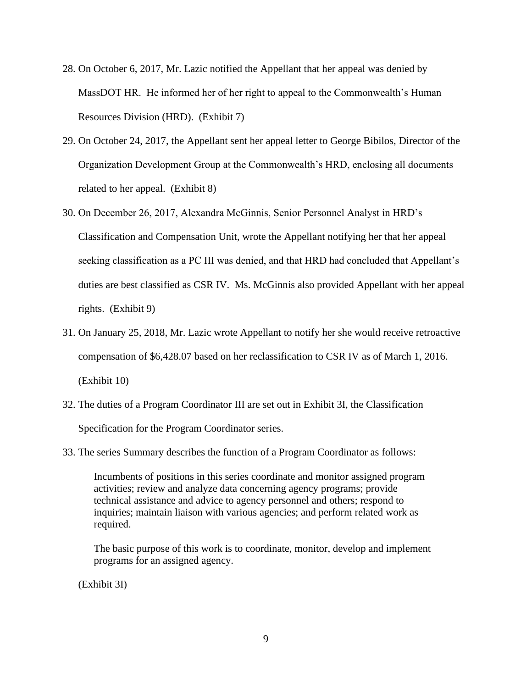- 28. On October 6, 2017, Mr. Lazic notified the Appellant that her appeal was denied by MassDOT HR. He informed her of her right to appeal to the Commonwealth's Human Resources Division (HRD). (Exhibit 7)
- 29. On October 24, 2017, the Appellant sent her appeal letter to George Bibilos, Director of the Organization Development Group at the Commonwealth's HRD, enclosing all documents related to her appeal. (Exhibit 8)
- 30. On December 26, 2017, Alexandra McGinnis, Senior Personnel Analyst in HRD's Classification and Compensation Unit, wrote the Appellant notifying her that her appeal seeking classification as a PC III was denied, and that HRD had concluded that Appellant's duties are best classified as CSR IV. Ms. McGinnis also provided Appellant with her appeal rights. (Exhibit 9)
- 31. On January 25, 2018, Mr. Lazic wrote Appellant to notify her she would receive retroactive compensation of \$6,428.07 based on her reclassification to CSR IV as of March 1, 2016. (Exhibit 10)
- 32. The duties of a Program Coordinator III are set out in Exhibit 3I, the Classification Specification for the Program Coordinator series.
- 33. The series Summary describes the function of a Program Coordinator as follows:

Incumbents of positions in this series coordinate and monitor assigned program activities; review and analyze data concerning agency programs; provide technical assistance and advice to agency personnel and others; respond to inquiries; maintain liaison with various agencies; and perform related work as required.

The basic purpose of this work is to coordinate, monitor, develop and implement programs for an assigned agency.

(Exhibit 3I)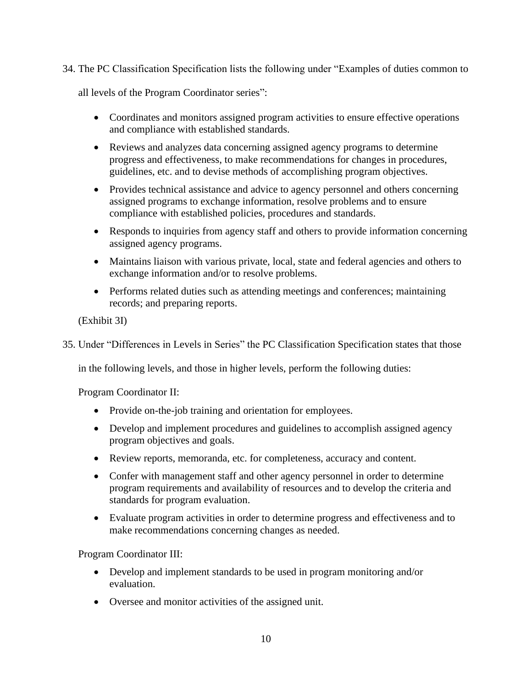34. The PC Classification Specification lists the following under "Examples of duties common to

all levels of the Program Coordinator series":

- Coordinates and monitors assigned program activities to ensure effective operations and compliance with established standards.
- Reviews and analyzes data concerning assigned agency programs to determine progress and effectiveness, to make recommendations for changes in procedures, guidelines, etc. and to devise methods of accomplishing program objectives.
- Provides technical assistance and advice to agency personnel and others concerning assigned programs to exchange information, resolve problems and to ensure compliance with established policies, procedures and standards.
- Responds to inquiries from agency staff and others to provide information concerning assigned agency programs.
- Maintains liaison with various private, local, state and federal agencies and others to exchange information and/or to resolve problems.
- Performs related duties such as attending meetings and conferences; maintaining records; and preparing reports.

(Exhibit 3I)

35. Under "Differences in Levels in Series" the PC Classification Specification states that those

in the following levels, and those in higher levels, perform the following duties:

Program Coordinator II:

- Provide on-the-job training and orientation for employees.
- Develop and implement procedures and guidelines to accomplish assigned agency program objectives and goals.
- Review reports, memoranda, etc. for completeness, accuracy and content.
- Confer with management staff and other agency personnel in order to determine program requirements and availability of resources and to develop the criteria and standards for program evaluation.
- Evaluate program activities in order to determine progress and effectiveness and to make recommendations concerning changes as needed.

Program Coordinator III:

- Develop and implement standards to be used in program monitoring and/or evaluation.
- Oversee and monitor activities of the assigned unit.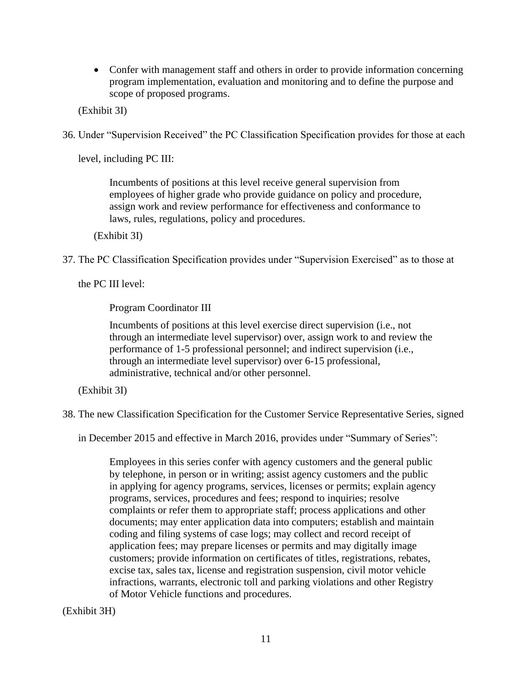• Confer with management staff and others in order to provide information concerning program implementation, evaluation and monitoring and to define the purpose and scope of proposed programs.

(Exhibit 3I)

36. Under "Supervision Received" the PC Classification Specification provides for those at each

level, including PC III:

Incumbents of positions at this level receive general supervision from employees of higher grade who provide guidance on policy and procedure, assign work and review performance for effectiveness and conformance to laws, rules, regulations, policy and procedures.

(Exhibit 3I)

37. The PC Classification Specification provides under "Supervision Exercised" as to those at

the PC III level:

Program Coordinator III

Incumbents of positions at this level exercise direct supervision (i.e., not through an intermediate level supervisor) over, assign work to and review the performance of 1-5 professional personnel; and indirect supervision (i.e., through an intermediate level supervisor) over 6-15 professional, administrative, technical and/or other personnel.

(Exhibit 3I)

38. The new Classification Specification for the Customer Service Representative Series, signed

in December 2015 and effective in March 2016, provides under "Summary of Series":

Employees in this series confer with agency customers and the general public by telephone, in person or in writing; assist agency customers and the public in applying for agency programs, services, licenses or permits; explain agency programs, services, procedures and fees; respond to inquiries; resolve complaints or refer them to appropriate staff; process applications and other documents; may enter application data into computers; establish and maintain coding and filing systems of case logs; may collect and record receipt of application fees; may prepare licenses or permits and may digitally image customers; provide information on certificates of titles, registrations, rebates, excise tax, sales tax, license and registration suspension, civil motor vehicle infractions, warrants, electronic toll and parking violations and other Registry of Motor Vehicle functions and procedures.

(Exhibit 3H)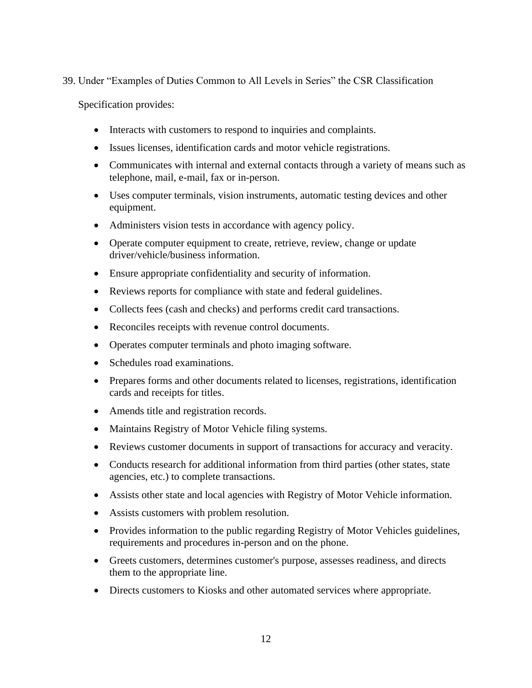## 39. Under "Examples of Duties Common to All Levels in Series" the CSR Classification

Specification provides:

- Interacts with customers to respond to inquiries and complaints.
- Issues licenses, identification cards and motor vehicle registrations.
- Communicates with internal and external contacts through a variety of means such as telephone, mail, e-mail, fax or in-person.
- Uses computer terminals, vision instruments, automatic testing devices and other equipment.
- Administers vision tests in accordance with agency policy.
- Operate computer equipment to create, retrieve, review, change or update driver/vehicle/business information.
- Ensure appropriate confidentiality and security of information.
- Reviews reports for compliance with state and federal guidelines.
- Collects fees (cash and checks) and performs credit card transactions.
- Reconciles receipts with revenue control documents.
- Operates computer terminals and photo imaging software.
- Schedules road examinations.
- Prepares forms and other documents related to licenses, registrations, identification cards and receipts for titles.
- Amends title and registration records.
- Maintains Registry of Motor Vehicle filing systems.
- Reviews customer documents in support of transactions for accuracy and veracity.
- Conducts research for additional information from third parties (other states, state agencies, etc.) to complete transactions.
- Assists other state and local agencies with Registry of Motor Vehicle information.
- Assists customers with problem resolution.
- Provides information to the public regarding Registry of Motor Vehicles guidelines, requirements and procedures in-person and on the phone.
- Greets customers, determines customer's purpose, assesses readiness, and directs them to the appropriate line.
- Directs customers to Kiosks and other automated services where appropriate.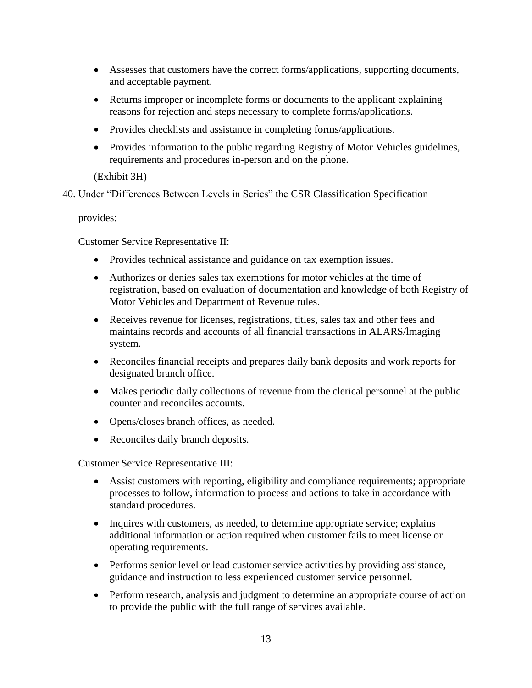- Assesses that customers have the correct forms/applications, supporting documents, and acceptable payment.
- Returns improper or incomplete forms or documents to the applicant explaining reasons for rejection and steps necessary to complete forms/applications.
- Provides checklists and assistance in completing forms/applications.
- Provides information to the public regarding Registry of Motor Vehicles guidelines, requirements and procedures in-person and on the phone.

## (Exhibit 3H)

40. Under "Differences Between Levels in Series" the CSR Classification Specification

## provides:

Customer Service Representative II:

- Provides technical assistance and guidance on tax exemption issues.
- Authorizes or denies sales tax exemptions for motor vehicles at the time of registration, based on evaluation of documentation and knowledge of both Registry of Motor Vehicles and Department of Revenue rules.
- Receives revenue for licenses, registrations, titles, sales tax and other fees and maintains records and accounts of all financial transactions in ALARS/lmaging system.
- Reconciles financial receipts and prepares daily bank deposits and work reports for designated branch office.
- Makes periodic daily collections of revenue from the clerical personnel at the public counter and reconciles accounts.
- Opens/closes branch offices, as needed.
- Reconciles daily branch deposits.

Customer Service Representative III:

- Assist customers with reporting, eligibility and compliance requirements; appropriate processes to follow, information to process and actions to take in accordance with standard procedures.
- Inquires with customers, as needed, to determine appropriate service; explains additional information or action required when customer fails to meet license or operating requirements.
- Performs senior level or lead customer service activities by providing assistance, guidance and instruction to less experienced customer service personnel.
- Perform research, analysis and judgment to determine an appropriate course of action to provide the public with the full range of services available.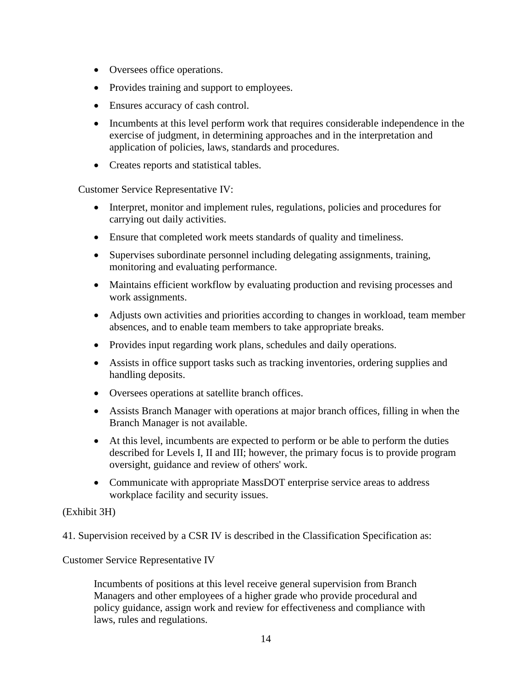- Oversees office operations.
- Provides training and support to employees.
- Ensures accuracy of cash control.
- Incumbents at this level perform work that requires considerable independence in the exercise of judgment, in determining approaches and in the interpretation and application of policies, laws, standards and procedures.
- Creates reports and statistical tables.

Customer Service Representative IV:

- Interpret, monitor and implement rules, regulations, policies and procedures for carrying out daily activities.
- Ensure that completed work meets standards of quality and timeliness.
- Supervises subordinate personnel including delegating assignments, training, monitoring and evaluating performance.
- Maintains efficient workflow by evaluating production and revising processes and work assignments.
- Adjusts own activities and priorities according to changes in workload, team member absences, and to enable team members to take appropriate breaks.
- Provides input regarding work plans, schedules and daily operations.
- Assists in office support tasks such as tracking inventories, ordering supplies and handling deposits.
- Oversees operations at satellite branch offices.
- Assists Branch Manager with operations at major branch offices, filling in when the Branch Manager is not available.
- At this level, incumbents are expected to perform or be able to perform the duties described for Levels I, II and III; however, the primary focus is to provide program oversight, guidance and review of others' work.
- Communicate with appropriate MassDOT enterprise service areas to address workplace facility and security issues.

# (Exhibit 3H)

41. Supervision received by a CSR IV is described in the Classification Specification as:

Customer Service Representative IV

Incumbents of positions at this level receive general supervision from Branch Managers and other employees of a higher grade who provide procedural and policy guidance, assign work and review for effectiveness and compliance with laws, rules and regulations.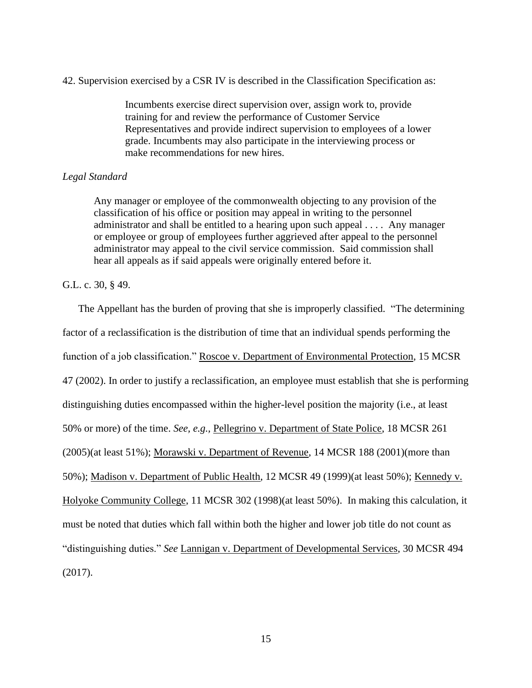42. Supervision exercised by a CSR IV is described in the Classification Specification as:

Incumbents exercise direct supervision over, assign work to, provide training for and review the performance of Customer Service Representatives and provide indirect supervision to employees of a lower grade. Incumbents may also participate in the interviewing process or make recommendations for new hires.

### *Legal Standard*

Any manager or employee of the commonwealth objecting to any provision of the classification of his office or position may appeal in writing to the personnel administrator and shall be entitled to a hearing upon such appeal . . . . Any manager or employee or group of employees further aggrieved after appeal to the personnel administrator may appeal to the civil service commission. Said commission shall hear all appeals as if said appeals were originally entered before it.

#### G.L. c. 30, § 49.

The Appellant has the burden of proving that she is improperly classified. "The determining factor of a reclassification is the distribution of time that an individual spends performing the function of a job classification." Roscoe v. Department of Environmental Protection, 15 MCSR 47 (2002). In order to justify a reclassification, an employee must establish that she is performing distinguishing duties encompassed within the higher-level position the majority (i.e., at least 50% or more) of the time. *See, e.g.,* Pellegrino v. Department of State Police, 18 MCSR 261 (2005)(at least 51%); Morawski v. Department of Revenue, 14 MCSR 188 (2001)(more than 50%); Madison v. Department of Public Health, 12 MCSR 49 (1999)(at least 50%); Kennedy v. Holyoke Community College, 11 MCSR 302 (1998)(at least 50%). In making this calculation, it must be noted that duties which fall within both the higher and lower job title do not count as "distinguishing duties." *See* Lannigan v. Department of Developmental Services, 30 MCSR 494 (2017).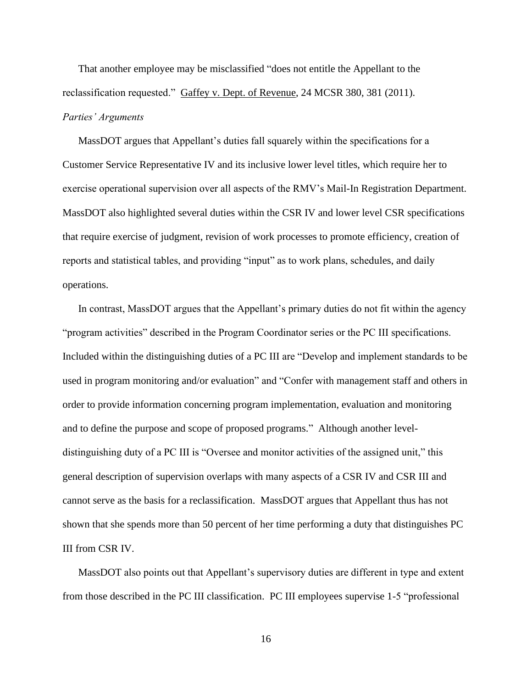That another employee may be misclassified "does not entitle the Appellant to the reclassification requested." Gaffey v. Dept. of Revenue, 24 MCSR 380, 381 (2011). *Parties' Arguments*

MassDOT argues that Appellant's duties fall squarely within the specifications for a Customer Service Representative IV and its inclusive lower level titles, which require her to exercise operational supervision over all aspects of the RMV's Mail-In Registration Department. MassDOT also highlighted several duties within the CSR IV and lower level CSR specifications that require exercise of judgment, revision of work processes to promote efficiency, creation of reports and statistical tables, and providing "input" as to work plans, schedules, and daily operations.

In contrast, MassDOT argues that the Appellant's primary duties do not fit within the agency "program activities" described in the Program Coordinator series or the PC III specifications. Included within the distinguishing duties of a PC III are "Develop and implement standards to be used in program monitoring and/or evaluation" and "Confer with management staff and others in order to provide information concerning program implementation, evaluation and monitoring and to define the purpose and scope of proposed programs." Although another leveldistinguishing duty of a PC III is "Oversee and monitor activities of the assigned unit," this general description of supervision overlaps with many aspects of a CSR IV and CSR III and cannot serve as the basis for a reclassification. MassDOT argues that Appellant thus has not shown that she spends more than 50 percent of her time performing a duty that distinguishes PC III from CSR IV.

MassDOT also points out that Appellant's supervisory duties are different in type and extent from those described in the PC III classification. PC III employees supervise 1-5 "professional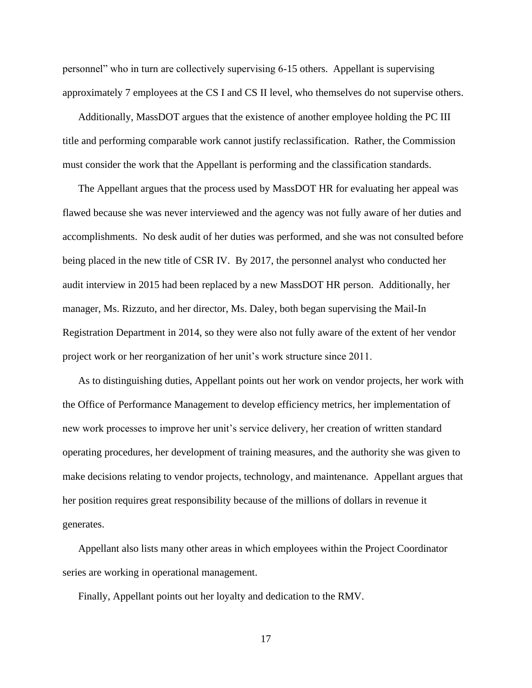personnel" who in turn are collectively supervising 6-15 others. Appellant is supervising approximately 7 employees at the CS I and CS II level, who themselves do not supervise others.

Additionally, MassDOT argues that the existence of another employee holding the PC III title and performing comparable work cannot justify reclassification. Rather, the Commission must consider the work that the Appellant is performing and the classification standards.

The Appellant argues that the process used by MassDOT HR for evaluating her appeal was flawed because she was never interviewed and the agency was not fully aware of her duties and accomplishments. No desk audit of her duties was performed, and she was not consulted before being placed in the new title of CSR IV. By 2017, the personnel analyst who conducted her audit interview in 2015 had been replaced by a new MassDOT HR person. Additionally, her manager, Ms. Rizzuto, and her director, Ms. Daley, both began supervising the Mail-In Registration Department in 2014, so they were also not fully aware of the extent of her vendor project work or her reorganization of her unit's work structure since 2011.

As to distinguishing duties, Appellant points out her work on vendor projects, her work with the Office of Performance Management to develop efficiency metrics, her implementation of new work processes to improve her unit's service delivery, her creation of written standard operating procedures, her development of training measures, and the authority she was given to make decisions relating to vendor projects, technology, and maintenance. Appellant argues that her position requires great responsibility because of the millions of dollars in revenue it generates.

Appellant also lists many other areas in which employees within the Project Coordinator series are working in operational management.

Finally, Appellant points out her loyalty and dedication to the RMV.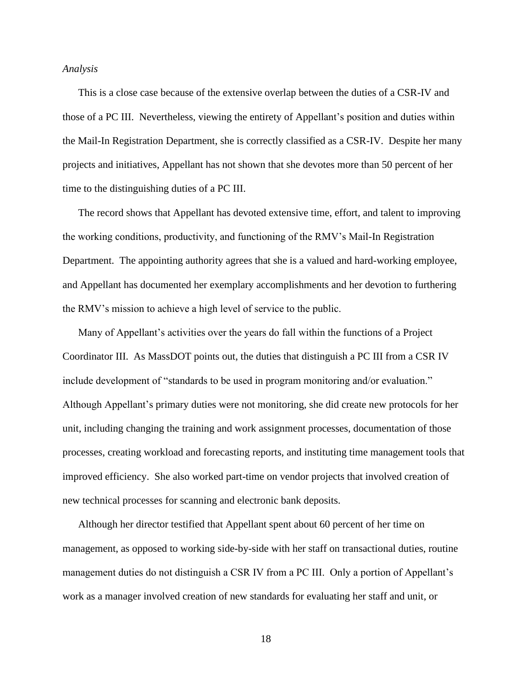#### *Analysis*

This is a close case because of the extensive overlap between the duties of a CSR-IV and those of a PC III. Nevertheless, viewing the entirety of Appellant's position and duties within the Mail-In Registration Department, she is correctly classified as a CSR-IV. Despite her many projects and initiatives, Appellant has not shown that she devotes more than 50 percent of her time to the distinguishing duties of a PC III.

The record shows that Appellant has devoted extensive time, effort, and talent to improving the working conditions, productivity, and functioning of the RMV's Mail-In Registration Department. The appointing authority agrees that she is a valued and hard-working employee, and Appellant has documented her exemplary accomplishments and her devotion to furthering the RMV's mission to achieve a high level of service to the public.

Many of Appellant's activities over the years do fall within the functions of a Project Coordinator III. As MassDOT points out, the duties that distinguish a PC III from a CSR IV include development of "standards to be used in program monitoring and/or evaluation." Although Appellant's primary duties were not monitoring, she did create new protocols for her unit, including changing the training and work assignment processes, documentation of those processes, creating workload and forecasting reports, and instituting time management tools that improved efficiency. She also worked part-time on vendor projects that involved creation of new technical processes for scanning and electronic bank deposits.

Although her director testified that Appellant spent about 60 percent of her time on management, as opposed to working side-by-side with her staff on transactional duties, routine management duties do not distinguish a CSR IV from a PC III. Only a portion of Appellant's work as a manager involved creation of new standards for evaluating her staff and unit, or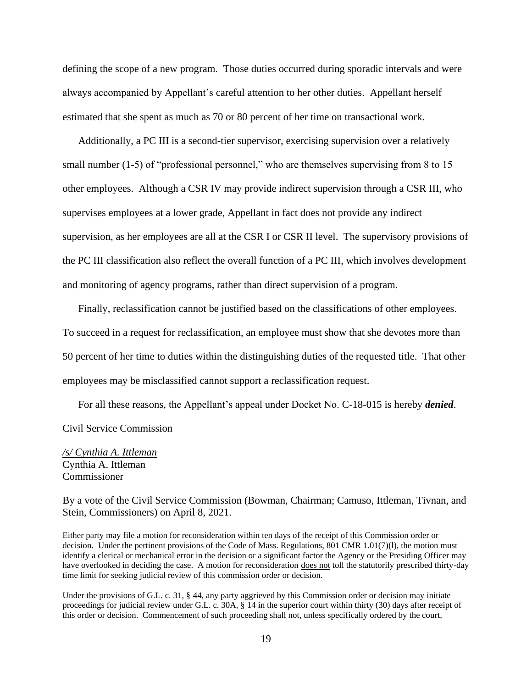defining the scope of a new program. Those duties occurred during sporadic intervals and were always accompanied by Appellant's careful attention to her other duties. Appellant herself estimated that she spent as much as 70 or 80 percent of her time on transactional work.

Additionally, a PC III is a second-tier supervisor, exercising supervision over a relatively small number (1-5) of "professional personnel," who are themselves supervising from 8 to 15 other employees. Although a CSR IV may provide indirect supervision through a CSR III, who supervises employees at a lower grade, Appellant in fact does not provide any indirect supervision, as her employees are all at the CSR I or CSR II level. The supervisory provisions of the PC III classification also reflect the overall function of a PC III, which involves development and monitoring of agency programs, rather than direct supervision of a program.

Finally, reclassification cannot be justified based on the classifications of other employees. To succeed in a request for reclassification, an employee must show that she devotes more than 50 percent of her time to duties within the distinguishing duties of the requested title. That other employees may be misclassified cannot support a reclassification request.

For all these reasons, the Appellant's appeal under Docket No. C-18-015 is hereby *denied*. Civil Service Commission

*/s/ Cynthia A. Ittleman* Cynthia A. Ittleman Commissioner

By a vote of the Civil Service Commission (Bowman, Chairman; Camuso, Ittleman, Tivnan, and Stein, Commissioners) on April 8, 2021.

Either party may file a motion for reconsideration within ten days of the receipt of this Commission order or decision. Under the pertinent provisions of the Code of Mass. Regulations, 801 CMR 1.01(7)(1), the motion must identify a clerical or mechanical error in the decision or a significant factor the Agency or the Presiding Officer may have overlooked in deciding the case. A motion for reconsideration does not toll the statutorily prescribed thirty-day time limit for seeking judicial review of this commission order or decision.

Under the provisions of G.L. c. 31, § 44, any party aggrieved by this Commission order or decision may initiate proceedings for judicial review under G.L. c. 30A, § 14 in the superior court within thirty (30) days after receipt of this order or decision. Commencement of such proceeding shall not, unless specifically ordered by the court,